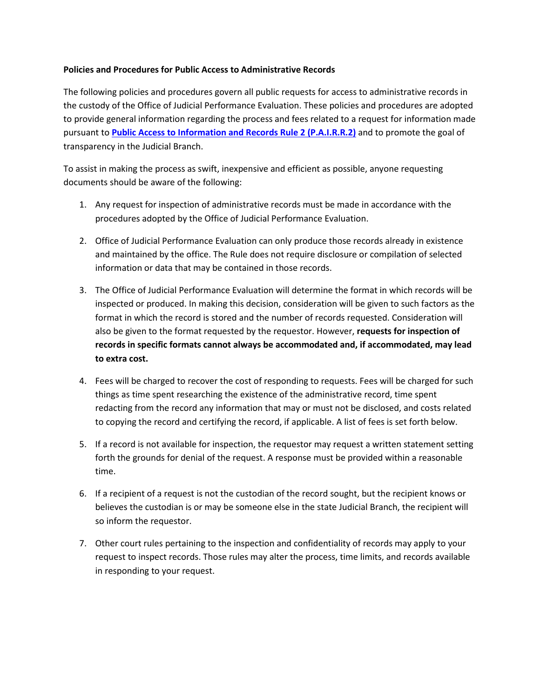## **Policies and Procedures for Public Access to Administrative Records**

The following policies and procedures govern all public requests for access to administrative records in the custody of the Office of Judicial Performance Evaluation. These policies and procedures are adopted to provide general information regarding the process and fees related to a request for information made pursuant to **[Public Access to Information and Records Rule 2 \(P.A.I.R.R.2\)](http://www.coloradosupremecourt.us/PDF/AboutUs/Open%20Records/P%20A%20I%20R%20R%202.pdf)** and to promote the goal of transparency in the Judicial Branch.

To assist in making the process as swift, inexpensive and efficient as possible, anyone requesting documents should be aware of the following:

- 1. Any request for inspection of administrative records must be made in accordance with the procedures adopted by the Office of Judicial Performance Evaluation.
- 2. Office of Judicial Performance Evaluation can only produce those records already in existence and maintained by the office. The Rule does not require disclosure or compilation of selected information or data that may be contained in those records.
- 3. The Office of Judicial Performance Evaluation will determine the format in which records will be inspected or produced. In making this decision, consideration will be given to such factors as the format in which the record is stored and the number of records requested. Consideration will also be given to the format requested by the requestor. However, **requests for inspection of records in specific formats cannot always be accommodated and, if accommodated, may lead to extra cost.**
- 4. Fees will be charged to recover the cost of responding to requests. Fees will be charged for such things as time spent researching the existence of the administrative record, time spent redacting from the record any information that may or must not be disclosed, and costs related to copying the record and certifying the record, if applicable. A list of fees is set forth below.
- 5. If a record is not available for inspection, the requestor may request a written statement setting forth the grounds for denial of the request. A response must be provided within a reasonable time.
- 6. If a recipient of a request is not the custodian of the record sought, but the recipient knows or believes the custodian is or may be someone else in the state Judicial Branch, the recipient will so inform the requestor.
- 7. Other court rules pertaining to the inspection and confidentiality of records may apply to your request to inspect records. Those rules may alter the process, time limits, and records available in responding to your request.